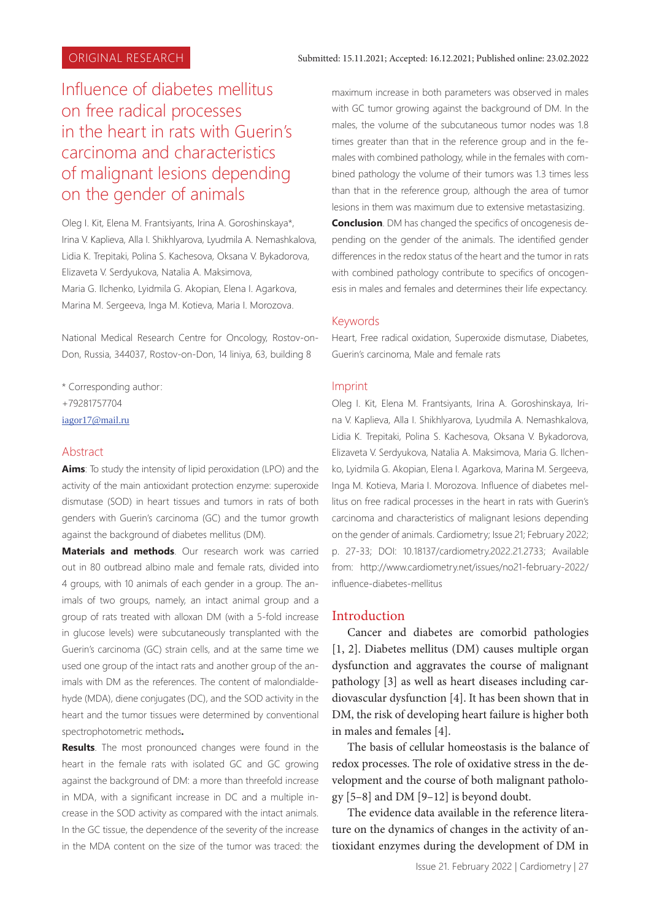# Influence of diabetes mellitus on free radical processes in the heart in rats with Guerin's carcinoma and characteristics of malignant lesions depending on the gender of animals

Oleg I. Kit, Elena M. Frantsiyants, Irina A. Goroshinskaya\*, Irina V. Kaplieva, Alla I. Shikhlyarova, Lyudmila A. Nemashkalova, Lidia K. Trepitaki, Polina S. Kachesova, Oksana V. Bykadorova, Elizaveta V. Serdyukova, Natalia A. Maksimova, Maria G. Ilchenko, Lyidmila G. Akopian, Elena I. Agarkova, Marina M. Sergeeva, Inga M. Kotieva, Maria I. Morozova.

National Medical Research Centre for Oncology, Rostov-on-Don, Russia, 344037, Rostov-on-Don, 14 liniya, 63, building 8

- \* Corresponding author: +79281757704
- iagor17@mail.ru

#### Abstract

**Aims**: To study the intensity of lipid peroxidation (LPO) and the activity of the main antioxidant protection enzyme: superoxide dismutase (SOD) in heart tissues and tumors in rats of both genders with Guerin's carcinoma (GC) and the tumor growth against the background of diabetes mellitus (DM).

**Materials and methods**. Our research work was carried out in 80 outbread albino male and female rats, divided into 4 groups, with 10 animals of each gender in a group. The animals of two groups, namely, an intact animal group and a group of rats treated with alloxan DM (with a 5-fold increase in glucose levels) were subcutaneously transplanted with the Guerin's carcinoma (GC) strain cells, and at the same time we used one group of the intact rats and another group of the animals with DM as the references. The content of malondialdehyde (MDA), diene conjugates (DC), and the SOD activity in the heart and the tumor tissues were determined by conventional spectrophotometric methods**.**

**Results**. The most pronounced changes were found in the heart in the female rats with isolated GC and GC growing against the background of DM: a more than threefold increase in MDA, with a significant increase in DC and a multiple increase in the SOD activity as compared with the intact animals. In the GC tissue, the dependence of the severity of the increase in the MDA content on the size of the tumor was traced: the

maximum increase in both parameters was observed in males with GC tumor growing against the background of DM. In the males, the volume of the subcutaneous tumor nodes was 1.8 times greater than that in the reference group and in the females with combined pathology, while in the females with combined pathology the volume of their tumors was 1.3 times less than that in the reference group, although the area of tumor lesions in them was maximum due to extensive metastasizing.

**Conclusion**. DM has changed the specifics of oncogenesis depending on the gender of the animals. The identified gender differences in the redox status of the heart and the tumor in rats with combined pathology contribute to specifics of oncogenesis in males and females and determines their life expectancy.

#### Keywords

Heart, Free radical oxidation, Superoxide dismutase, Diabetes, Guerin's carcinoma, Male and female rats

#### Imprint

Oleg I. Kit, Elena M. Frantsiyants, Irina A. Goroshinskaya, Irina V. Kaplieva, Alla I. Shikhlyarova, Lyudmila A. Nemashkalova, Lidia K. Trepitaki, Polina S. Kachesova, Oksana V. Bykadorova, Elizaveta V. Serdyukova, Natalia A. Maksimova, Maria G. Ilchenko, Lyidmila G. Akopian, Elena I. Agarkova, Marina M. Sergeeva, Inga M. Kotieva, Maria I. Morozova. Influence of diabetes mellitus on free radical processes in the heart in rats with Guerin's carcinoma and characteristics of malignant lesions depending on the gender of animals. Cardiometry; Issue 21; February 2022; p. 27-33; DOI: 10.18137/cardiometry.2022.21.2733; Available from: http://www.cardiometry.net/issues/no21-february-2022/ influence-diabetes-mellitus

#### Introduction

Cancer and diabetes are comorbid pathologies [1, 2]. Diabetes mellitus (DM) causes multiple organ dysfunction and aggravates the course of malignant pathology [3] as well as heart diseases including cardiovascular dysfunction [4]. It has been shown that in DM, the risk of developing heart failure is higher both in males and females [4].

The basis of cellular homeostasis is the balance of redox processes. The role of oxidative stress in the development and the course of both malignant pathology [5–8] and DM [9–12] is beyond doubt.

The evidence data available in the reference literature on the dynamics of changes in the activity of antioxidant enzymes during the development of DM in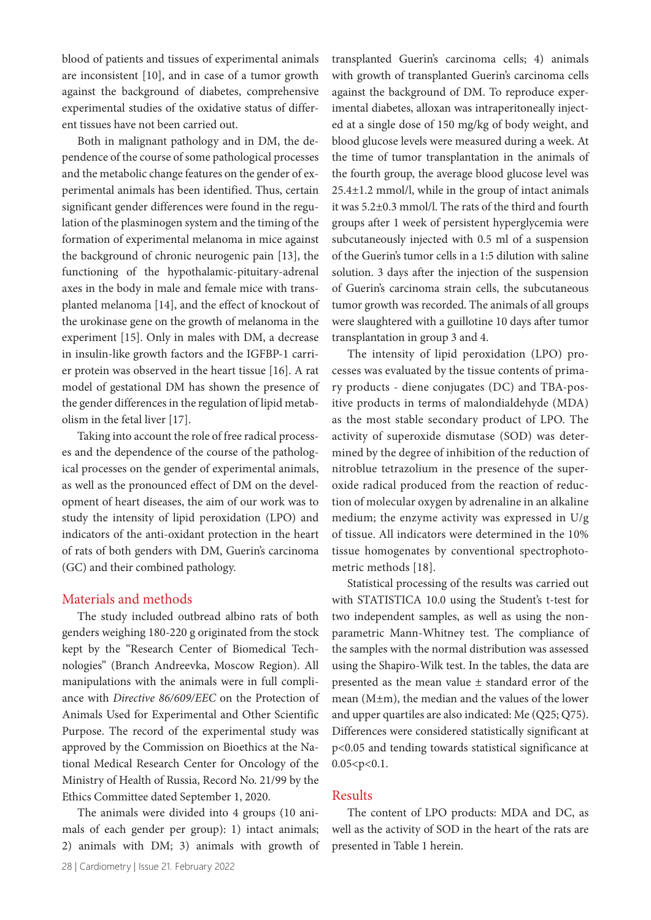blood of patients and tissues of experimental animals are inconsistent [10], and in case of a tumor growth against the background of diabetes, comprehensive experimental studies of the oxidative status of different tissues have not been carried out.

Both in malignant pathology and in DM, the dependence of the course of some pathological processes and the metabolic change features on the gender of experimental animals has been identified. Thus, certain significant gender differences were found in the regulation of the plasminogen system and the timing of the formation of experimental melanoma in mice against the background of chronic neurogenic pain [13], the functioning of the hypothalamic-pituitary-adrenal axes in the body in male and female mice with transplanted melanoma [14], and the effect of knockout of the urokinase gene on the growth of melanoma in the experiment [15]. Only in males with DM, a decrease in insulin-like growth factors and the IGFBP-1 carrier protein was observed in the heart tissue [16]. A rat model of gestational DM has shown the presence of the gender differences in the regulation of lipid metabolism in the fetal liver [17].

Taking into account the role of free radical processes and the dependence of the course of the pathological processes on the gender of experimental animals, as well as the pronounced effect of DM on the development of heart diseases, the aim of our work was to study the intensity of lipid peroxidation (LPO) and indicators of the anti-oxidant protection in the heart of rats of both genders with DM, Guerin's carcinoma (GC) and their combined pathology.

#### Materials and methods

The study included outbread albino rats of both genders weighing 180-220 g originated from the stock kept by the "Research Center of Biomedical Technologies" (Branch Andreevka, Moscow Region). All manipulations with the animals were in full compliance with *Directive 86/609/EEC* on the Protection of Animals Used for Experimental and Other Scientific Purpose. The record of the experimental study was approved by the Commission on Bioethics at the National Medical Research Center for Oncology of the Ministry of Health of Russia, Record No. 21/99 by the Ethics Committee dated September 1, 2020.

The animals were divided into 4 groups (10 animals of each gender per group): 1) intact animals; 2) animals with DM; 3) animals with growth of transplanted Guerin's carcinoma cells; 4) animals with growth of transplanted Guerin's carcinoma cells against the background of DM. To reproduce experimental diabetes, alloxan was intraperitoneally injected at a single dose of 150 mg/kg of body weight, and blood glucose levels were measured during a week. At the time of tumor transplantation in the animals of the fourth group, the average blood glucose level was 25.4±1.2 mmol/l, while in the group of intact animals it was 5.2±0.3 mmol/l. The rats of the third and fourth groups after 1 week of persistent hyperglycemia were subcutaneously injected with 0.5 ml of a suspension of the Guerin's tumor cells in a 1:5 dilution with saline solution. 3 days after the injection of the suspension of Guerin's carcinoma strain cells, the subcutaneous tumor growth was recorded. The animals of all groups were slaughtered with a guillotine 10 days after tumor transplantation in group 3 and 4.

The intensity of lipid peroxidation (LPO) processes was evaluated by the tissue contents of primary products - diene conjugates (DC) and TBA-positive products in terms of malondialdehyde (MDA) as the most stable secondary product of LPO. The activity of superoxide dismutase (SOD) was determined by the degree of inhibition of the reduction of nitroblue tetrazolium in the presence of the superoxide radical produced from the reaction of reduction of molecular oxygen by adrenaline in an alkaline medium; the enzyme activity was expressed in U/g of tissue. All indicators were determined in the 10% tissue homogenates by conventional spectrophotometric methods [18].

Statistical processing of the results was carried out with STATISTICA 10.0 using the Student's t-test for two independent samples, as well as using the nonparametric Mann-Whitney test. The compliance of the samples with the normal distribution was assessed using the Shapiro-Wilk test. In the tables, the data are presented as the mean value ± standard error of the mean (M±m), the median and the values of the lower and upper quartiles are also indicated: Me (Q25; Q75). Differences were considered statistically significant at p<0.05 and tending towards statistical significance at  $0.05 < p < 0.1$ .

### Results

The content of LPO products: MDA and DC, as well as the activity of SOD in the heart of the rats are presented in Table 1 herein.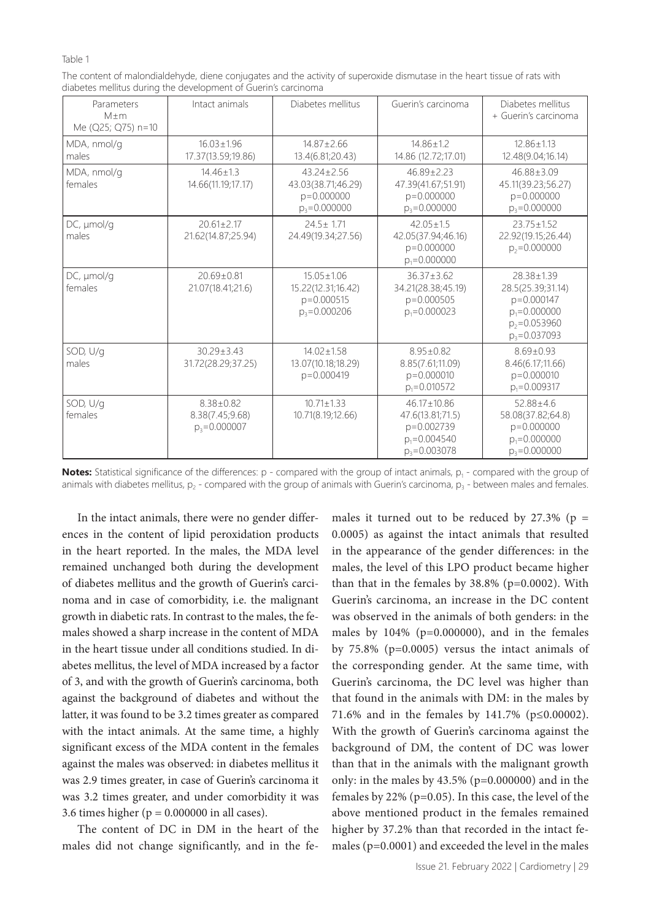#### Table 1

| The content of malondialdehyde, diene conjugates and the activity of superoxide dismutase in the heart tissue of rats with |  |
|----------------------------------------------------------------------------------------------------------------------------|--|
| diabetes mellitus during the development of Guerin's carcinoma                                                             |  |

| Parameters<br>$M+m$<br>Me (Q25; Q75) n=10 | Intact animals                                         | Diabetes mellitus                                                          | Guerin's carcinoma                                                                          | Diabetes mellitus<br>+ Guerin's carcinoma                                                                 |
|-------------------------------------------|--------------------------------------------------------|----------------------------------------------------------------------------|---------------------------------------------------------------------------------------------|-----------------------------------------------------------------------------------------------------------|
| MDA, nmol/g<br>males                      | $16.03 + 1.96$<br>17.37(13.59;19.86)                   | $14.87 \pm 2.66$<br>13.4(6.81;20.43)                                       | $14.86 \pm 1.2$<br>14.86 (12.72;17.01)                                                      | $12.86 + 1.13$<br>12.48(9.04;16.14)                                                                       |
| MDA, nmol/g<br>females                    | $14.46 + 1.3$<br>14.66(11.19;17.17)                    | $43.24 + 2.56$<br>43.03(38.71;46.29)<br>$p = 0.000000$<br>$p_3 = 0.000000$ | $46.89 + 2.23$<br>47.39(41.67;51.91)<br>p=0.000000<br>$p_3 = 0.000000$                      | $46.88 + 3.09$<br>45.11(39.23;56.27)<br>$p=0.000000$<br>$p_3 = 0.000000$                                  |
| DC, umol/a<br>males                       | $20.61 + 2.17$<br>21.62(14.87;25.94)                   | $24.5 + 1.71$<br>24.49(19.34;27.56)                                        | $42.05 + 1.5$<br>42.05(37.94;46.16)<br>p=0.000000<br>$p_1 = 0.000000$                       | $23.75 + 1.52$<br>22.92(19.15;26.44)<br>$p_2 = 0.000000$                                                  |
| DC, µmol/g<br>females                     | $20.69 + 0.81$<br>21.07(18.41;21.6)                    | $15.05 + 1.06$<br>15.22(12.31;16.42)<br>$p = 0.000515$<br>$p_3 = 0.000206$ | $36.37 + 3.62$<br>34.21(28.38;45.19)<br>p=0.000505<br>$p_1 = 0.000023$                      | 28.38+1.39<br>28.5(25.39;31.14)<br>p=0.000147<br>$p_1 = 0.000000$<br>$p_2 = 0.053960$<br>$p_3 = 0.037093$ |
| SOD, U/g<br>males                         | $30.29 + 3.43$<br>31.72(28.29;37.25)                   | $14.02 + 1.58$<br>13.07(10.18;18.29)<br>p=0.000419                         | $8.95 \pm 0.82$<br>8.85(7.61;11.09)<br>$p = 0.000010$<br>$p_1 = 0.010572$                   | $8.69 + 0.93$<br>8.46(6.17;11.66)<br>$p = 0.000010$<br>$p_1 = 0.009317$                                   |
| SOD, U/g<br>females                       | $8.38 \pm 0.82$<br>8.38(7.45;9.68)<br>$p_3 = 0.000007$ | $10.71 + 1.33$<br>10.71(8.19;12.66)                                        | $46.17 \pm 10.86$<br>47.6(13.81;71.5)<br>p=0.002739<br>$p_1 = 0.004540$<br>$p_3 = 0.003078$ | $52.88 + 4.6$<br>58.08(37.82;64.8)<br>p=0.000000<br>$p_1 = 0.000000$<br>$p_3 = 0.000000$                  |

**Notes:** Statistical significance of the differences: p - compared with the group of intact animals, p<sub>1</sub> - compared with the group of animals with diabetes mellitus,  $p_2$  - compared with the group of animals with Guerin's carcinoma,  $p_3$  - between males and females.

In the intact animals, there were no gender differences in the content of lipid peroxidation products in the heart reported. In the males, the MDA level remained unchanged both during the development of diabetes mellitus and the growth of Guerin's carcinoma and in case of comorbidity, i.e. the malignant growth in diabetic rats. In contrast to the males, the females showed a sharp increase in the content of MDA in the heart tissue under all conditions studied. In diabetes mellitus, the level of MDA increased by a factor of 3, and with the growth of Guerin's carcinoma, both against the background of diabetes and without the latter, it was found to be 3.2 times greater as compared with the intact animals. At the same time, a highly significant excess of the MDA content in the females against the males was observed: in diabetes mellitus it was 2.9 times greater, in case of Guerin's carcinoma it was 3.2 times greater, and under comorbidity it was 3.6 times higher ( $p = 0.000000$  in all cases).

The content of DC in DM in the heart of the males did not change significantly, and in the females it turned out to be reduced by 27.3% ( $p =$ 0.0005) as against the intact animals that resulted in the appearance of the gender differences: in the males, the level of this LPO product became higher than that in the females by  $38.8\%$  (p=0.0002). With Guerin's carcinoma, an increase in the DC content was observed in the animals of both genders: in the males by 104% (p=0.000000), and in the females by 75.8% (p=0.0005) versus the intact animals of the corresponding gender. At the same time, with Guerin's carcinoma, the DC level was higher than that found in the animals with DM: in the males by 71.6% and in the females by 141.7% (p≤0.00002). With the growth of Guerin's carcinoma against the background of DM, the content of DC was lower than that in the animals with the malignant growth only: in the males by 43.5% (p=0.000000) and in the females by 22% (p=0.05). In this case, the level of the above mentioned product in the females remained higher by 37.2% than that recorded in the intact females (p=0.0001) and exceeded the level in the males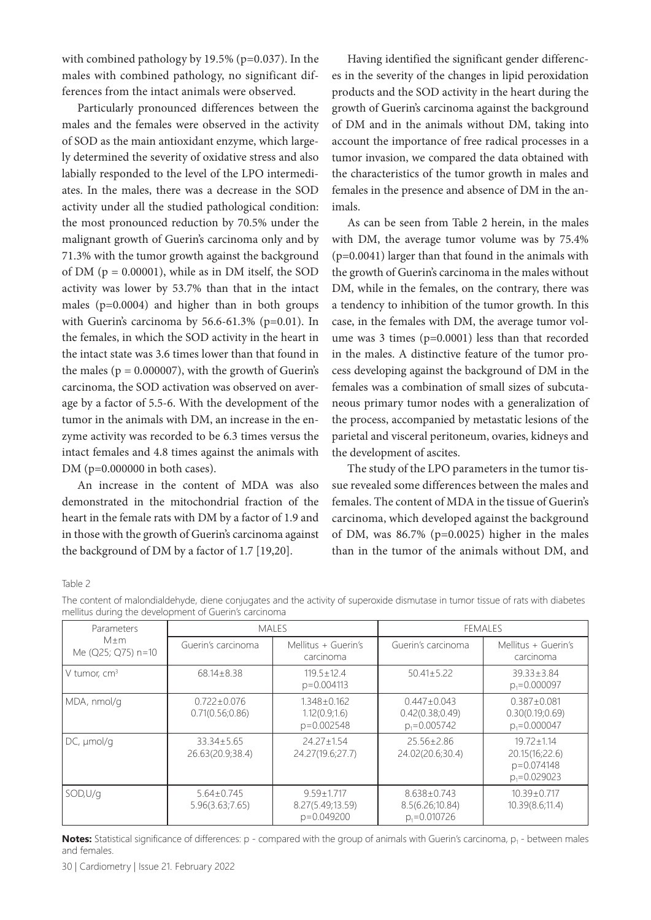with combined pathology by 19.5% (p=0.037). In the males with combined pathology, no significant differences from the intact animals were observed.

Particularly pronounced differences between the males and the females were observed in the activity of SOD as the main antioxidant enzyme, which largely determined the severity of oxidative stress and also labially responded to the level of the LPO intermediates. In the males, there was a decrease in the SOD activity under all the studied pathological condition: the most pronounced reduction by 70.5% under the malignant growth of Guerin's carcinoma only and by 71.3% with the tumor growth against the background of DM ( $p = 0.00001$ ), while as in DM itself, the SOD activity was lower by 53.7% than that in the intact males (p=0.0004) and higher than in both groups with Guerin's carcinoma by 56.6-61.3% (p=0.01). In the females, in which the SOD activity in the heart in the intact state was 3.6 times lower than that found in the males ( $p = 0.000007$ ), with the growth of Guerin's carcinoma, the SOD activation was observed on average by a factor of 5.5-6. With the development of the tumor in the animals with DM, an increase in the enzyme activity was recorded to be 6.3 times versus the intact females and 4.8 times against the animals with DM (p=0.000000 in both cases).

An increase in the content of MDA was also demonstrated in the mitochondrial fraction of the heart in the female rats with DM by a factor of 1.9 and in those with the growth of Guerin's carcinoma against the background of DM by a factor of 1.7 [19,20].

Having identified the significant gender differences in the severity of the changes in lipid peroxidation products and the SOD activity in the heart during the growth of Guerin's carcinoma against the background of DM and in the animals without DM, taking into account the importance of free radical processes in a tumor invasion, we compared the data obtained with the characteristics of the tumor growth in males and females in the presence and absence of DM in the animals.

As can be seen from Table 2 herein, in the males with DM, the average tumor volume was by 75.4% (p=0.0041) larger than that found in the animals with the growth of Guerin's carcinoma in the males without DM, while in the females, on the contrary, there was a tendency to inhibition of the tumor growth. In this case, in the females with DM, the average tumor volume was 3 times (p=0.0001) less than that recorded in the males. A distinctive feature of the tumor process developing against the background of DM in the females was a combination of small sizes of subcutaneous primary tumor nodes with a generalization of the process, accompanied by metastatic lesions of the parietal and visceral peritoneum, ovaries, kidneys and the development of ascites.

The study of the LPO parameters in the tumor tissue revealed some differences between the males and females. The content of MDA in the tissue of Guerin's carcinoma, which developed against the background of DM, was 86.7% (p=0.0025) higher in the males than in the tumor of the animals without DM, and

Table 2

| Parameters<br>$M+m$<br>Me (Q25; Q75) n=10 | <b>MALES</b>                         |                                                      | FEMALES                                                  |                                                                    |
|-------------------------------------------|--------------------------------------|------------------------------------------------------|----------------------------------------------------------|--------------------------------------------------------------------|
|                                           | Guerin's carcinoma                   | Mellitus + Guerin's<br>carcinoma                     | Guerin's carcinoma                                       | Mellitus + Guerin's<br>carcinoma                                   |
| V tumor, $cm3$                            | $68.14 \pm 8.38$                     | $119.5 + 12.4$<br>$p = 0.004113$                     | $50.41 \pm 5.22$                                         | $39.33 \pm 3.84$<br>$p_1 = 0.000097$                               |
| MDA, nmol/g                               | $0.722 + 0.076$<br>0.71(0.56; 0.86)  | $1.348 \pm 0.162$<br>1.12(0.9;1.6)<br>$p = 0.002548$ | $0.447 + 0.043$<br>0.42(0.38;0.49)<br>$p_1 = 0.005742$   | $0.387 + 0.081$<br>0.30(0.19; 0.69)<br>$p_1 = 0.000047$            |
| $DC, \mu$ mol/g                           | $33.34 \pm 5.65$<br>26.63(20.9;38.4) | $24.27 + 1.54$<br>24.27(19.6;27.7)                   | 25.56+2.86<br>24.02(20.6;30.4)                           | $19.72 + 1.14$<br>20.15(16;22.6)<br>p=0.074148<br>$p_1 = 0.029023$ |
| SOD, U/q                                  | $5.64 + 0.745$<br>5.96(3.63;7.65)    | $9.59 + 1.717$<br>8.27(5.49;13.59)<br>p=0.049200     | $8.638 \pm 0.743$<br>8.5(6.26;10.84)<br>$p_1 = 0.010726$ | $10.39 + 0.717$<br>10.39(8.6;11.4)                                 |

The content of malondialdehyde, diene conjugates and the activity of superoxide dismutase in tumor tissue of rats with diabetes mellitus during the development of Guerin's carcinoma

**Notes:** Statistical significance of differences: p - compared with the group of animals with Guerin's carcinoma, p<sub>1</sub> - between males and females.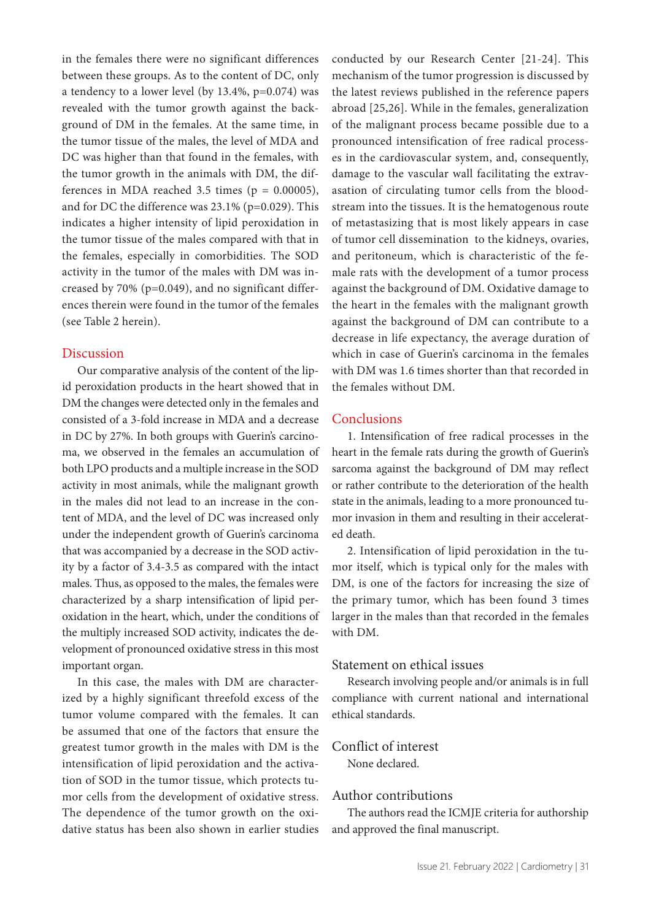in the females there were no significant differences between these groups. As to the content of DC, only a tendency to a lower level (by 13.4%, p=0.074) was revealed with the tumor growth against the background of DM in the females. At the same time, in the tumor tissue of the males, the level of MDA and DC was higher than that found in the females, with the tumor growth in the animals with DM, the differences in MDA reached 3.5 times ( $p = 0.00005$ ), and for DC the difference was 23.1% (p=0.029). This indicates a higher intensity of lipid peroxidation in the tumor tissue of the males compared with that in the females, especially in comorbidities. The SOD activity in the tumor of the males with DM was increased by 70% (p=0.049), and no significant differences therein were found in the tumor of the females (see Table 2 herein).

## Discussion

Our comparative analysis of the content of the lipid peroxidation products in the heart showed that in DM the changes were detected only in the females and consisted of a 3-fold increase in MDA and a decrease in DC by 27%. In both groups with Guerin's carcinoma, we observed in the females an accumulation of both LPO products and a multiple increase in the SOD activity in most animals, while the malignant growth in the males did not lead to an increase in the content of MDA, and the level of DC was increased only under the independent growth of Guerin's carcinoma that was accompanied by a decrease in the SOD activity by a factor of 3.4-3.5 as compared with the intact males. Thus, as opposed to the males, the females were characterized by a sharp intensification of lipid peroxidation in the heart, which, under the conditions of the multiply increased SOD activity, indicates the development of pronounced oxidative stress in this most important organ.

In this case, the males with DM are characterized by a highly significant threefold excess of the tumor volume compared with the females. It can be assumed that one of the factors that ensure the greatest tumor growth in the males with DM is the intensification of lipid peroxidation and the activation of SOD in the tumor tissue, which protects tumor cells from the development of oxidative stress. The dependence of the tumor growth on the oxidative status has been also shown in earlier studies

conducted by our Research Center [21-24]. This mechanism of the tumor progression is discussed by the latest reviews published in the reference papers abroad [25,26]. While in the females, generalization of the malignant process became possible due to a pronounced intensification of free radical processes in the cardiovascular system, and, consequently, damage to the vascular wall facilitating the extravasation of circulating tumor cells from the bloodstream into the tissues. It is the hematogenous route of metastasizing that is most likely appears in case of tumor cell dissemination to the kidneys, ovaries, and peritoneum, which is characteristic of the female rats with the development of a tumor process against the background of DM. Oxidative damage to the heart in the females with the malignant growth against the background of DM can contribute to a decrease in life expectancy, the average duration of which in case of Guerin's carcinoma in the females with DM was 1.6 times shorter than that recorded in the females without DM.

# **Conclusions**

1. Intensification of free radical processes in the heart in the female rats during the growth of Guerin's sarcoma against the background of DM may reflect or rather contribute to the deterioration of the health state in the animals, leading to a more pronounced tumor invasion in them and resulting in their accelerated death.

2. Intensification of lipid peroxidation in the tumor itself, which is typical only for the males with DM, is one of the factors for increasing the size of the primary tumor, which has been found 3 times larger in the males than that recorded in the females with DM.

# Statement on ethical issues

Research involving people and/or animals is in full compliance with current national and international ethical standards.

# Conflict of interest

None declared.

# Author contributions

The authors read the ICMJE criteria for authorship and approved the final manuscript.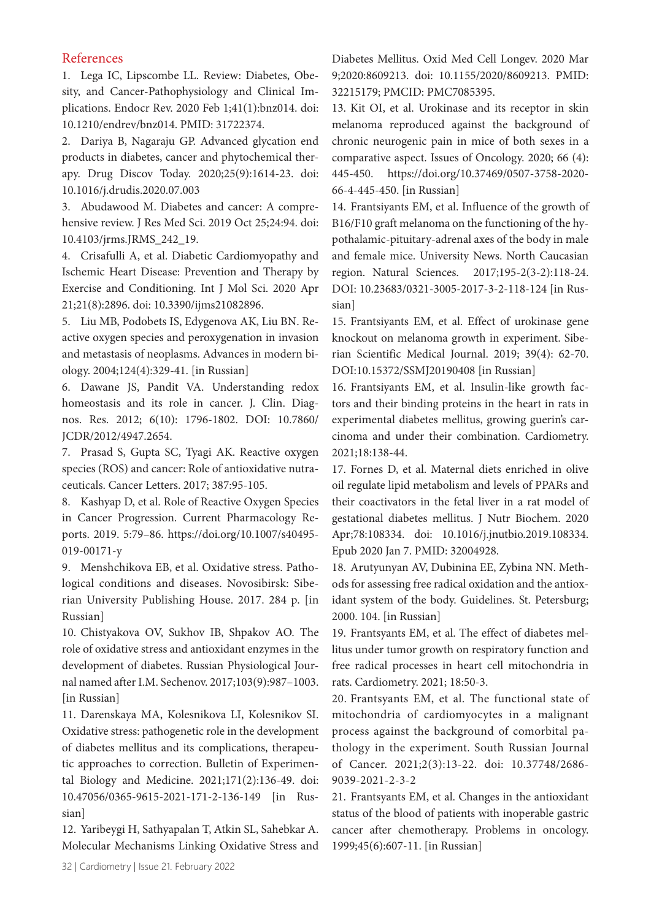### References

1. Lega IC, Lipscombe LL. Review: Diabetes, Obesity, and Cancer-Pathophysiology and Clinical Implications. Endocr Rev. 2020 Feb 1;41(1):bnz014. doi: 10.1210/endrev/bnz014. PMID: 31722374.

2. Dariya B, Nagaraju GP. Advanced glycation end products in diabetes, cancer and phytochemical therapy. Drug Discov Today. 2020;25(9):1614-23. doi: 10.1016/j.drudis.2020.07.003

3. Abudawood M. Diabetes and cancer: A comprehensive review. J Res Med Sci. 2019 Oct 25;24:94. doi: 10.4103/jrms.JRMS\_242\_19.

4. Crisafulli A, et al. Diabetic Cardiomyopathy and Ischemic Heart Disease: Prevention and Therapy by Exercise and Conditioning. Int J Mol Sci. 2020 Apr 21;21(8):2896. doi: 10.3390/ijms21082896.

5. Liu MB, Podobets IS, Edygenova AK, Liu BN. Reactive oxygen species and peroxygenation in invasion and metastasis of neoplasms. Advances in modern biology. 2004;124(4):329-41. [in Russian]

6. Dawane JS, Pandit VA. Understanding redox homeostasis and its role in cancer. J. Clin. Diagnos. Res. 2012; 6(10): 1796-1802. DOI: 10.7860/ JCDR/2012/4947.2654.

7. Prasad S, Gupta SC, Tyagi AK. Reactive oxygen species (ROS) and cancer: Role of antioxidative nutraceuticals. Cancer Letters. 2017; 387:95-105.

8. Kashyap D, et al. Role of Reactive Oxygen Species in Cancer Progression. Current Pharmacology Reports. 2019. 5:79–86. https://doi.org/10.1007/s40495- 019-00171-y

9. Menshchikova EB, et al. Oxidative stress. Pathological conditions and diseases. Novosibirsk: Siberian University Publishing House. 2017. 284 p. [in Russian]

10. Chistyakova OV, Sukhov IB, Shpakov AO. The role of oxidative stress and antioxidant enzymes in the development of diabetes. Russian Physiological Journal named after I.M. Sechenov. 2017;103(9):987–1003. [in Russian]

11. Darenskaya MA, Kolesnikova LI, Kolesnikov SI. Oxidative stress: pathogenetic role in the development of diabetes mellitus and its complications, therapeutic approaches to correction. Bulletin of Experimental Biology and Medicine. 2021;171(2):136-49. doi: 10.47056/0365-9615-2021-171-2-136-149 [in Russian]

12. Yaribeygi H, Sathyapalan T, Atkin SL, Sahebkar A. Molecular Mechanisms Linking Oxidative Stress and Diabetes Mellitus. Oxid Med Cell Longev. 2020 Mar 9;2020:8609213. doi: 10.1155/2020/8609213. PMID: 32215179; PMCID: PMC7085395.

13. Kit OI, et al. Urokinase and its receptor in skin melanoma reproduced against the background of chronic neurogenic pain in mice of both sexes in a comparative aspect. Issues of Oncology. 2020; 66 (4): 445-450. https://doi.org/10.37469/0507-3758-2020- 66-4-445-450. [in Russian]

14. Frantsiyants EM, et al. Influence of the growth of B16/F10 graft melanoma on the functioning of the hypothalamic-pituitary-adrenal axes of the body in male and female mice. University News. North Caucasian region. Natural Sciences. 2017;195-2(3-2):118-24. DOI: 10.23683/0321-3005-2017-3-2-118-124 [in Russian]

15. Frantsiyants EM, et al. Effect of urokinase gene knockout on melanoma growth in experiment. Siberian Scientific Medical Journal. 2019; 39(4): 62-70. DOI:10.15372/SSMJ20190408 [in Russian]

16. Frantsiyants EM, et al. Insulin-like growth factors and their binding proteins in the heart in rats in experimental diabetes mellitus, growing guerin's carcinoma and under their combination. Cardiometry. 2021;18:138-44.

17. Fornes D, et al. Maternal diets enriched in olive oil regulate lipid metabolism and levels of PPARs and their coactivators in the fetal liver in a rat model of gestational diabetes mellitus. J Nutr Biochem. 2020 Apr;78:108334. doi: 10.1016/j.jnutbio.2019.108334. Epub 2020 Jan 7. PMID: 32004928.

18. Arutyunyan AV, Dubinina EE, Zybina NN. Methods for assessing free radical oxidation and the antioxidant system of the body. Guidelines. St. Petersburg; 2000. 104. [in Russian]

19. Frantsyants EM, et al. The effect of diabetes mellitus under tumor growth on respiratory function and free radical processes in heart cell mitochondria in rats. Cardiometry. 2021; 18:50-3.

20. Frantsyants EM, et al. The functional state of mitochondria of cardiomyocytes in a malignant process against the background of comorbital pathology in the experiment. South Russian Journal of Cancer. 2021;2(3):13-22. doi: 10.37748/2686- 9039-2021-2-3-2

21. Frantsyants EM, et al. Changes in the antioxidant status of the blood of patients with inoperable gastric cancer after chemotherapy. Problems in oncology. 1999;45(6):607-11. [in Russian]